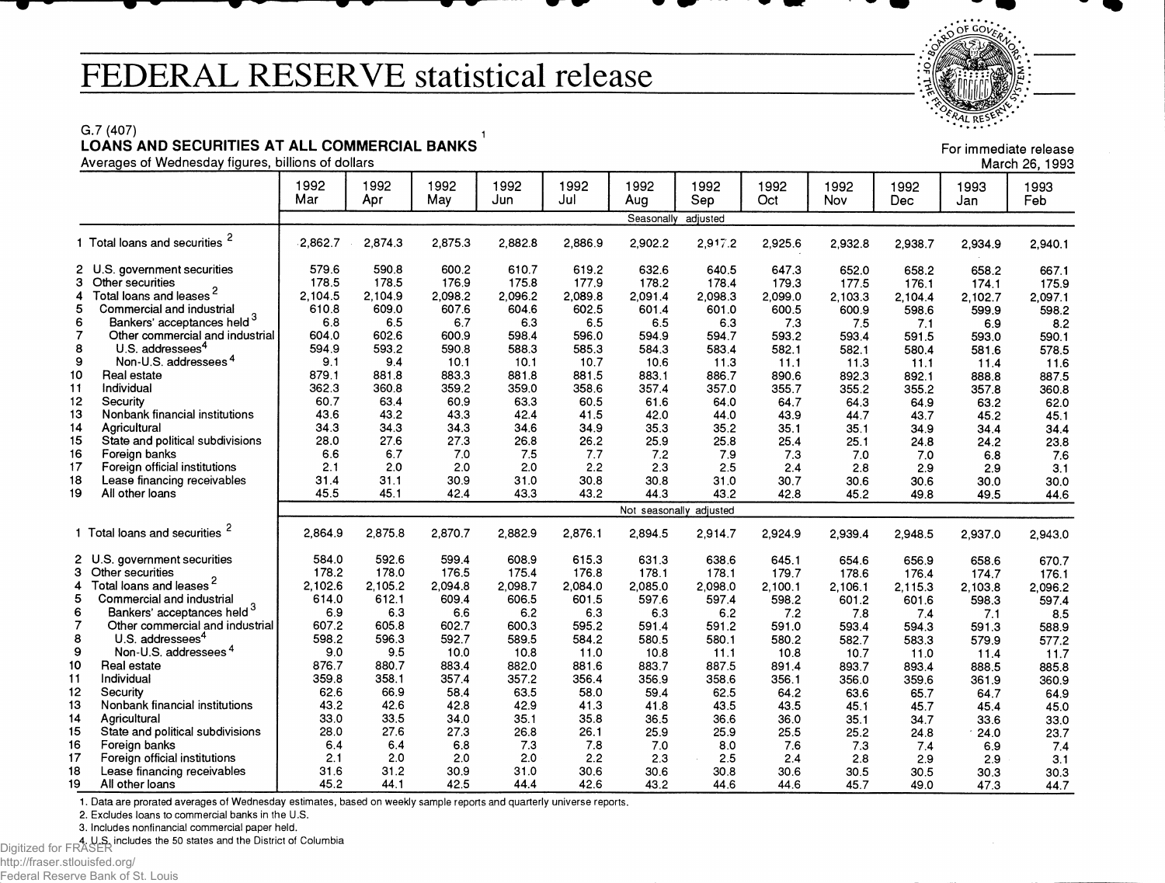## **FEDERAL RESERVE statistical release**

 $OFGOV_{\mathcal{F}}$  $\cdot$  $\frac{6}{5}$ *ALRES*<sup>E</sup>,

> For immediate release March 26,1993

## G.7 (407)  $\qquad \qquad$  1

**LOANS AND SECURITIES AT ALL COMMERCIAL BANKS**

Averages of Wednesday figures, billions of dollars

|                |                                     | 1992<br>Mar | 1992<br>Apr | 1992<br>May | 1992<br>Jun | 1992<br>Jul | 1992<br>Aug | 1992<br>Sep             | 1992<br>Oct | 1992<br>Nov | 1992<br>Dec | 1993<br>Jan | 1993<br>Feb |
|----------------|-------------------------------------|-------------|-------------|-------------|-------------|-------------|-------------|-------------------------|-------------|-------------|-------------|-------------|-------------|
|                |                                     |             |             |             |             |             | Seasonally  | adjusted                |             |             |             |             |             |
|                | 1 Total loans and securities        | 2,862.7     | 2,874.3     | 2,875.3     | 2,882.8     | 2.886.9     | 2,902.2     | 2,917.2                 | 2,925.6     | 2.932.8     | 2,938.7     | 2,934.9     | 2,940.1     |
|                | 2 U.S. government securities        | 579.6       | 590.8       | 600.2       | 610.7       | 619.2       | 632.6       | 640.5                   | 647.3       | 652.0       | 658.2       | 658.2       | 667.1       |
| 3              | Other securities                    | 178.5       | 178.5       | 176.9       | 175.8       | 177.9       | 178.2       | 178.4                   | 179.3       | 177.5       | 176.1       | 174.1       | 175.9       |
| 4              | Total loans and leases <sup>2</sup> | 2.104.5     | 2,104.9     | 2,098.2     | 2,096.2     | 2,089.8     | 2.091.4     | 2.098.3                 | 2,099.0     | 2,103.3     | 2.104.4     | 2,102.7     | 2,097.1     |
| 5              | Commercial and industrial           | 610.8       | 609.0       | 607.6       | 604.6       | 602.5       | 601.4       | 601.0                   | 600.5       | 600.9       | 598.6       | 599.9       | 598.2       |
| 6              | Bankers' acceptances held 3         | 6.8         | 6.5         | 6.7         | 6.3         | 6.5         | 6.5         | 6.3                     | 7.3         | 7.5         | 7.1         | 6.9         | 8.2         |
| $\overline{7}$ | Other commercial and industrial     | 604.0       | 602.6       | 600.9       | 598.4       | 596.0       | 594.9       | 594.7                   | 593.2       | 593.4       | 591.5       | 593.0       | 590.1       |
| 8              | U.S. addressees <sup>4</sup>        | 594.9       | 593.2       | 590.8       | 588.3       | 585.3       | 584.3       | 583.4                   | 582.1       | 582.1       | 580.4       | 581.6       | 578.5       |
| 9              | Non-U.S. addressees <sup>4</sup>    | 9.1         | 9.4         | 10.1        | 10.1        | 10.7        | 10.6        | 11.3                    | 11.1        | 11.3        | 11.1        | 11.4        | 11.6        |
| 10             | Real estate                         | 879.1       | 881.8       | 883.3       | 881.8       | 881.5       | 883.1       | 886.7                   | 890.6       | 892.3       | 892.1       | 888.8       | 887.5       |
| 11             | Individual                          | 362.3       | 360.8       | 359.2       | 359.0       | 358.6       | 357.4       | 357.0                   | 355.7       | 355.2       | 355.2       | 357.8       | 360.8       |
| 12             | Security                            | 60.7        | 63.4        | 60.9        | 63.3        | 60.5        | 61.6        | 64.0                    | 64.7        | 64.3        | 64.9        | 63.2        | 62.0        |
| 13             | Nonbank financial institutions      | 43.6        | 43.2        | 43.3        | 42.4        | 41.5        | 42.0        | 44.0                    | 43.9        | 44.7        | 43.7        | 45.2        | 45.1        |
| 14             | Agricultural                        | 34.3        | 34.3        | 34.3        | 34.6        | 34.9        | 35.3        | 35.2                    | 35.1        | 35.1        | 34.9        | 34.4        | 34.4        |
| 15             | State and political subdivisions    | 28.0        | 27.6        | 27.3        | 26.8        | 26.2        | 25.9        | 25.8                    | 25.4        | 25.1        | 24.8        | 24.2        | 23.8        |
| 16             | Foreign banks                       | 6.6         | 6.7         | 7.0         | 7.5         | 7.7         | 7.2         | 7.9                     | 7.3         | 7.0         | 7.0         | 6.8         | 7.6         |
| 17             | Foreign official institutions       | 2.1         | 2.0         | 20          | 2.0         | 2.2         | 2.3         | 2.5                     | 2.4         | 2.8         | 2.9         | 2.9         | 3.1         |
| 18             | Lease financing receivables         | 31.4        | 31.1        | 30.9        | 31.0        | 30.8        | 30.8        | 31.0                    | 30.7        | 30.6        | 30.6        | 30.0        | 30.0        |
| 19             | All other loans                     | 45.5        | 45.1        | 42.4        | 43.3        | 43.2        | 44.3        | 43.2                    | 42.8        | 45.2        | 49.8        | 49.5        | 44.6        |
|                |                                     |             |             |             |             |             |             | Not seasonally adjusted |             |             |             |             |             |
|                | 1 Total loans and securities        | 2.864.9     | 2,875.8     | 2.870.7     | 2.882.9     | 2.876.1     | 2,894.5     | 2,914.7                 | 2.924.9     | 2.939.4     | 2,948.5     | 2,937.0     | 2,943.0     |
|                | 2 U.S. government securities        | 584.0       | 592.6       | 599.4       | 608.9       | 615.3       | 631.3       | 638.6                   | 645.1       | 654.6       | 656.9       | 658.6       | 670.7       |
|                | 3 Other securities                  | 178.2       | 178.0       | 176.5       | 175.4       | 176.8       | 178.1       | 178.1                   | 179.7       | 178.6       | 176.4       | 174.7       | 176.1       |
| 4              | Total loans and leases <sup>2</sup> | 2,102.6     | 2.105.2     | 2,094.8     | 2,098.7     | 2,084.0     | 2,085.0     | 2,098.0                 | 2,100.1     | 2,106.1     | 2,115.3     | 2,103.8     | 2,096.2     |
| 5              | Commercial and industrial           | 614.0       | 612.1       | 609.4       | 606.5       | 601.5       | 597.6       | 597.4                   | 598.2       | 601.2       | 601.6       | 598.3       | 597.4       |
| 6              | Bankers' acceptances held 3         | 6.9         | 6.3         | 6.6         | 6.2         | 6.3         | 6.3         | 6.2                     | 7.2         | 7.8         | 7.4         | 7.1         | 8.5         |
| $\overline{7}$ | Other commercial and industrial     | 607.2       | 605.8       | 602.7       | 600.3       | 595.2       | 591.4       | 591.2                   | 591.0       | 593.4       | 594.3       | 591.3       | 588.9       |
| 8              | U.S. addressees <sup>4</sup>        | 598.2       | 596.3       | 592.7       | 589.5       | 584.2       | 580.5       | 580.1                   | 580.2       | 582.7       | 583.3       | 579.9       | 577.2       |
| 9              | Non-U.S. addressees <sup>4</sup>    | 9.0         | 9.5         | 10.0        | 10.8        | 11.0        | 10.8        | 11.1                    | 10.8        | 10.7        | 11.0        | 11.4        | 11.7        |
| 10             | Real estate                         | 876.7       | 880.7       | 883.4       | 882.0       | 881.6       | 883.7       | 887.5                   | 891.4       | 893.7       | 893.4       | 888.5       | 885.8       |
| 11             | Individual                          | 359.8       | 358.1       | 357.4       | 357.2       | 356.4       | 356.9       | 358.6                   | 356.1       | 356.0       | 359.6       | 361.9       | 360.9       |
| 12             | Security                            | 62.6        | 66.9        | 58.4        | 63.5        | 58.0        | 59.4        | 62.5                    | 64.2        | 63.6        | 65.7        | 64.7        | 64.9        |
| 13             | Nonbank financial institutions      | 43.2        | 42.6        | 42.8        | 42.9        | 41.3        | 41.8        | 43.5                    | 43.5        | 45.1        | 45.7        | 45.4        | 45.0        |
| 14             | Agricultural                        | 33.0        | 33.5        | 34.0        | 35.1        | 35.8        | 36.5        | 36.6                    | 36.0        | 35.1        | 34.7        | 33.6        | 33.0        |
| 15             | State and political subdivisions    | 28.0        | 27.6        | 27.3        | 26.8        | 26.1        | 25.9        | 25.9                    | 25.5        | 25.2        | 24.8        | 24.0        | 23.7        |
| 16             | Foreign banks                       | 6.4         | 6.4         | 6.8         | 7.3         | 7.8         | 7.0         | 8.0                     | 7.6         | 7.3         | 7.4         | 6.9         | 7.4         |
| 17             | Foreign official institutions       | 2.1         | 2.0         | 2.0         | 2.0         | 2.2         | 2.3         | 2.5                     | 2.4         | 2.8         | 2.9         | 2.9         | 3.1         |
| 18             | Lease financing receivables         | 31.6        | 31.2        | 30.9        | 31.0        | 30.6        | 30.6        | 30.8                    | 30.6        | 30.5        | 30.5        | 30.3        | 30.3        |
| 19             | All other loans                     | 45.2        | 44.1        | 42.5        | 44.4        | 42.6        | 43.2        | 44.6                    | 44.6        | 45.7        | 49.0        | 47.3        | 44.7        |

1. Data are prorated averages of Wednesday estimates, based on weekly sample reports and quarterly universe reports.

2. Excludes loans to commercial banks in the U.S.

3. Includes nonfinancial commercial paper held.

4. U.S. includes the 50 states and the District of Columbia Digitized for FRASER

http://fraser.stlouisfed.org/

Federal Reserve Bank of St. Louis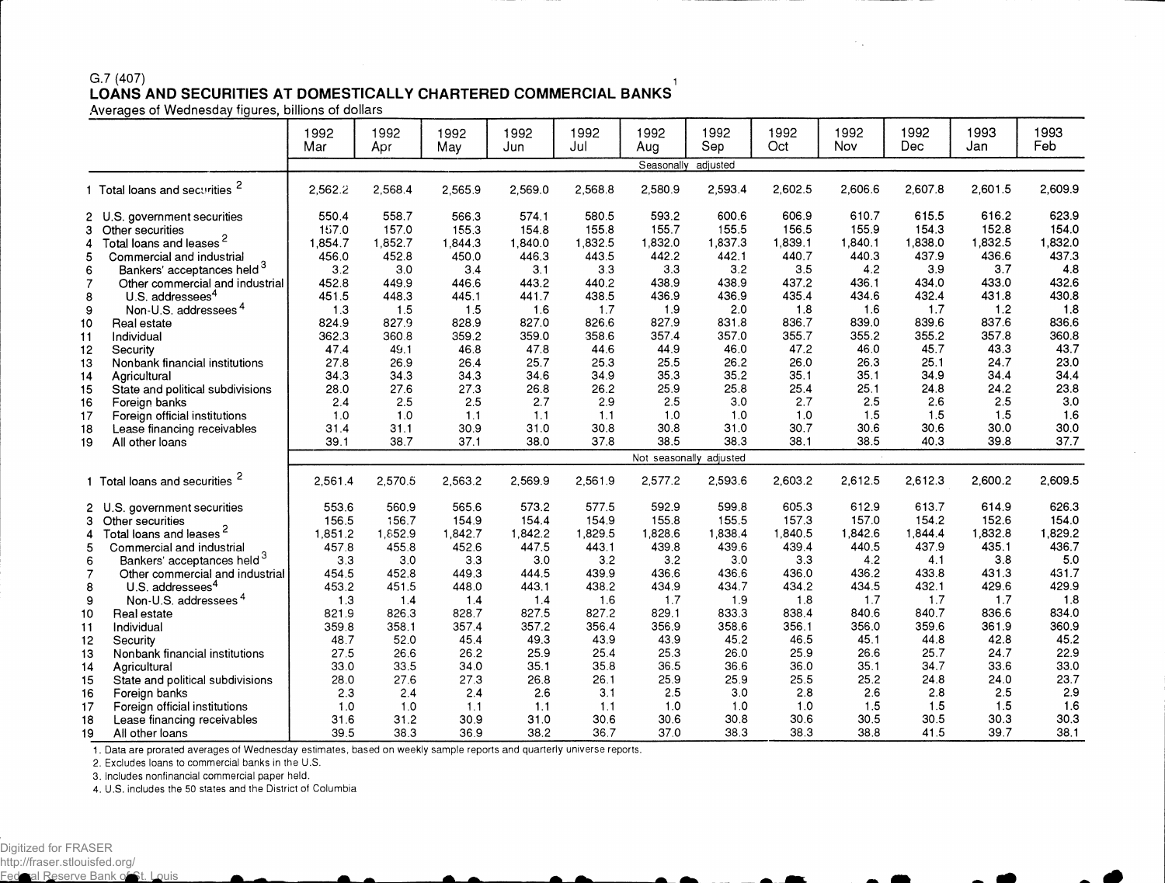## **G.7 (407) i LOANS AND SECURITIES AT DOMESTICALLY CHARTERED COMMERCIAL BANKS**

Averages of Wednesday figures, billions of dollars

|                                                                                              |                                                                                                                                                                                                                                                                                                                                                                                                                                             | 1992<br>Mar                                                                                                                        | 1992<br>Apr                                                                                                                        | 1992<br>May                                                                                                                        | 1992<br>Jun                                                                                                                        | 1992<br>Jul                                                                                                                        | 1992<br>Aug                                                                                                                        | 1992<br>Sep                                                                                                                        | 1992<br>Oct                                                                                                                        | 1992<br>Nov                                                                                                                        | 1992<br>Dec.                                                                                                                       | 1993<br>Jan                                                                                                                        | 1993<br>Feb                                                                                                                       |
|----------------------------------------------------------------------------------------------|---------------------------------------------------------------------------------------------------------------------------------------------------------------------------------------------------------------------------------------------------------------------------------------------------------------------------------------------------------------------------------------------------------------------------------------------|------------------------------------------------------------------------------------------------------------------------------------|------------------------------------------------------------------------------------------------------------------------------------|------------------------------------------------------------------------------------------------------------------------------------|------------------------------------------------------------------------------------------------------------------------------------|------------------------------------------------------------------------------------------------------------------------------------|------------------------------------------------------------------------------------------------------------------------------------|------------------------------------------------------------------------------------------------------------------------------------|------------------------------------------------------------------------------------------------------------------------------------|------------------------------------------------------------------------------------------------------------------------------------|------------------------------------------------------------------------------------------------------------------------------------|------------------------------------------------------------------------------------------------------------------------------------|-----------------------------------------------------------------------------------------------------------------------------------|
|                                                                                              |                                                                                                                                                                                                                                                                                                                                                                                                                                             |                                                                                                                                    |                                                                                                                                    |                                                                                                                                    |                                                                                                                                    |                                                                                                                                    | Seasonally                                                                                                                         | adjusted                                                                                                                           |                                                                                                                                    |                                                                                                                                    |                                                                                                                                    |                                                                                                                                    |                                                                                                                                   |
|                                                                                              | 1 Total loans and securities <sup>2</sup>                                                                                                                                                                                                                                                                                                                                                                                                   | 2.562.2                                                                                                                            | 2,568.4                                                                                                                            | 2.565.9                                                                                                                            | 2.569.0                                                                                                                            | 2.568.8                                                                                                                            | 2,580.9                                                                                                                            | 2,593.4                                                                                                                            | 2,602.5                                                                                                                            | 2.606.6                                                                                                                            | 2,607.8                                                                                                                            | 2.601.5                                                                                                                            | 2,609.9                                                                                                                           |
| з<br>4<br>5<br>6<br>$\overline{7}$<br>8<br>9<br>10<br>11<br>12<br>13<br>14<br>15<br>16<br>17 | 2 U.S. government securities<br>Other securities<br>Total loans and leases <sup>2</sup><br>Commercial and industrial<br>Bankers' acceptances held 3<br>Other commercial and industrial<br>U.S. addressees <sup>4</sup><br>Non-U.S. addressees <sup>4</sup><br>Real estate<br>Individual<br>Security<br>Nonbank financial institutions<br>Agricultural<br>State and political subdivisions<br>Foreign banks<br>Foreign official institutions | 550.4<br>157.0<br>1,854.7<br>456.0<br>3.2<br>452.8<br>451.5<br>1.3<br>824.9<br>362.3<br>47.4<br>27.8<br>34.3<br>28.0<br>2.4<br>1.0 | 558.7<br>157.0<br>1,852.7<br>452.8<br>3.0<br>449.9<br>448.3<br>1.5<br>827.9<br>360.8<br>49.1<br>26.9<br>34.3<br>27.6<br>2.5<br>1.0 | 566.3<br>155.3<br>1,844.3<br>450.0<br>3.4<br>446.6<br>445.1<br>1.5<br>828.9<br>359.2<br>46.8<br>26.4<br>34.3<br>27.3<br>2.5<br>1.1 | 574.1<br>154.8<br>1,840.0<br>446.3<br>3.1<br>443.2<br>441.7<br>1.6<br>827.0<br>359.0<br>47.8<br>25.7<br>34.6<br>26.8<br>2.7<br>1.1 | 580.5<br>155.8<br>1,832.5<br>443.5<br>3.3<br>440.2<br>438.5<br>1.7<br>826.6<br>358.6<br>44.6<br>25.3<br>34.9<br>26.2<br>2.9<br>1.1 | 593.2<br>155.7<br>1,832.0<br>442.2<br>3.3<br>438.9<br>436.9<br>1.9<br>827.9<br>357.4<br>44.9<br>25.5<br>35.3<br>25.9<br>2.5<br>1.0 | 600.6<br>155.5<br>1,837.3<br>442.1<br>3.2<br>438.9<br>436.9<br>2.0<br>831.8<br>357.0<br>46.0<br>26.2<br>35.2<br>25.8<br>3.0<br>1.0 | 606.9<br>156.5<br>1,839.1<br>440.7<br>3.5<br>437.2<br>435.4<br>1.8<br>836.7<br>355.7<br>47.2<br>26.0<br>35.1<br>25.4<br>2.7<br>1.0 | 610.7<br>155.9<br>1,840.1<br>440.3<br>4.2<br>436.1<br>434.6<br>1.6<br>839.0<br>355.2<br>46.0<br>26.3<br>35.1<br>25.1<br>2.5<br>1.5 | 615.5<br>154.3<br>1,838.0<br>437.9<br>3.9<br>434.0<br>432.4<br>1.7<br>839.6<br>355.2<br>45.7<br>25.1<br>34.9<br>24.8<br>2.6<br>1.5 | 616.2<br>152.8<br>1,832.5<br>436.6<br>3.7<br>433.0<br>431.8<br>1.2<br>837.6<br>357.8<br>43.3<br>24.7<br>34.4<br>24.2<br>2.5<br>1.5 | 623.9<br>154.0<br>1,832.0<br>437.3<br>4.8<br>432.6<br>430.8<br>1.8<br>836.6<br>360.8<br>43.7<br>23.0<br>34.4<br>23.8<br>3.0<br>16 |
| 18                                                                                           | Lease financing receivables                                                                                                                                                                                                                                                                                                                                                                                                                 | 31.4<br>39.1                                                                                                                       | 31.1<br>38.7                                                                                                                       | 30.9<br>37.1                                                                                                                       | 31.0<br>38.0                                                                                                                       | 30.8<br>37.8                                                                                                                       | 30.8<br>38.5                                                                                                                       | 31.0<br>38.3                                                                                                                       | 30.7<br>38.1                                                                                                                       | 30.6<br>38.5                                                                                                                       | 30.6<br>40.3                                                                                                                       | 30.0<br>39.8                                                                                                                       | 30.0<br>37.7                                                                                                                      |
| 19                                                                                           | All other loans                                                                                                                                                                                                                                                                                                                                                                                                                             |                                                                                                                                    |                                                                                                                                    |                                                                                                                                    |                                                                                                                                    |                                                                                                                                    |                                                                                                                                    |                                                                                                                                    |                                                                                                                                    |                                                                                                                                    |                                                                                                                                    |                                                                                                                                    |                                                                                                                                   |
|                                                                                              | 1 Total loans and securities <sup>2</sup>                                                                                                                                                                                                                                                                                                                                                                                                   | 2,561.4                                                                                                                            | 2,570.5                                                                                                                            | 2,563.2                                                                                                                            | 2.569.9                                                                                                                            | 2.561.9                                                                                                                            | 2,577.2                                                                                                                            | Not seasonally adjusted<br>2.593.6                                                                                                 | 2,603.2                                                                                                                            | 2,612.5                                                                                                                            | 2,612.3                                                                                                                            | 2,600.2                                                                                                                            | 2,609.5                                                                                                                           |
| 4<br>5<br>6<br>$\overline{7}$                                                                | 2 U.S. government securities<br>3 Other securities<br>Total loans and leases <sup>2</sup><br>Commercial and industrial<br>Bankers' acceptances held <sup>3</sup><br>Other commercial and industrial                                                                                                                                                                                                                                         | 553.6<br>156.5<br>1,851.2<br>457.8<br>3.3<br>454.5                                                                                 | 560.9<br>156.7<br>1,852.9<br>455.8<br>3.0<br>452.8                                                                                 | 565.6<br>154.9<br>1,842.7<br>452.6<br>3.3<br>449.3                                                                                 | 573.2<br>154.4<br>1,842.2<br>447.5<br>3.0<br>444.5                                                                                 | 577.5<br>154.9<br>1,829.5<br>443.1<br>3.2<br>439.9                                                                                 | 592.9<br>155.8<br>1,828.6<br>439.8<br>3.2<br>436.6                                                                                 | 599.8<br>155.5<br>1,838.4<br>439.6<br>3.0<br>436.6                                                                                 | 605.3<br>157.3<br>1,840.5<br>439.4<br>3.3<br>436.0                                                                                 | 612.9<br>157.0<br>1,842.6<br>440.5<br>4.2<br>436.2                                                                                 | 613.7<br>154.2<br>1,844.4<br>437.9<br>4.1<br>433.8                                                                                 | 614.9<br>152.6<br>1,832.8<br>435.1<br>3.8<br>431.3                                                                                 | 626.3<br>154.0<br>1,829.2<br>436.7<br>5.0<br>431.7                                                                                |
| 8<br>9<br>10<br>11<br>12                                                                     | U.S. addressees <sup>4</sup><br>Non-U.S. addressees <sup>4</sup><br>Real estate<br>Individual<br>Security                                                                                                                                                                                                                                                                                                                                   | 453.2<br>1.3<br>821.9<br>359.8<br>48.7                                                                                             | 451.5<br>1.4<br>826.3<br>358.1<br>52.0                                                                                             | 448.0<br>1.4<br>828.7<br>357.4<br>45.4                                                                                             | 443.1<br>1.4<br>827.5<br>357.2<br>49.3                                                                                             | 438.2<br>1.6<br>827.2<br>356.4<br>43.9                                                                                             | 434.9<br>1.7<br>829.1<br>356.9<br>43.9                                                                                             | 434.7<br>1.9<br>833.3<br>358.6<br>45.2                                                                                             | 434.2<br>1.8<br>838.4<br>356.1<br>46.5                                                                                             | 434.5<br>1.7<br>840.6<br>356.0<br>45.1                                                                                             | 432.1<br>1.7<br>840.7<br>359.6<br>44.8                                                                                             | 429.6<br>1.7<br>836.6<br>361.9<br>42.8                                                                                             | 429.9<br>1.8<br>834.0<br>360.9<br>45.2                                                                                            |
| 13<br>14<br>15<br>16<br>17<br>18<br>19                                                       | Nonbank financial institutions<br>Agricultural<br>State and political subdivisions<br>Foreign banks<br>Foreign official institutions<br>Lease financing receivables<br>All other loans                                                                                                                                                                                                                                                      | 27.5<br>33.0<br>28.0<br>2.3<br>1.0<br>31.6<br>39.5                                                                                 | 26.6<br>33.5<br>27.6<br>2.4<br>1.0<br>31.2<br>38.3                                                                                 | 26.2<br>34.0<br>27.3<br>2.4<br>1.1<br>30.9<br>36.9                                                                                 | 25.9<br>35.1<br>26.8<br>2.6<br>1.1<br>31.0<br>38.2                                                                                 | 25.4<br>35.8<br>26.1<br>3.1<br>1.1<br>30.6<br>36.7                                                                                 | 25.3<br>36.5<br>25.9<br>2.5<br>1.0<br>30.6<br>37.0                                                                                 | 26.0<br>36.6<br>25.9<br>3.0<br>1.0<br>30.8<br>38.3                                                                                 | 25.9<br>36.0<br>25.5<br>2.8<br>1.0<br>30.6<br>38.3                                                                                 | 26.6<br>35.1<br>25.2<br>2.6<br>1.5<br>30.5<br>38.8                                                                                 | 25.7<br>34.7<br>24.8<br>2.8<br>1.5<br>30.5<br>41.5                                                                                 | 24.7<br>33.6<br>24.0<br>2.5<br>1.5<br>30.3<br>39.7                                                                                 | 22.9<br>33.0<br>23.7<br>2.9<br>1.6<br>30.3<br>38.1                                                                                |

1. Data are prorated averages of Wednesday estimates, based on weekly sample reports and quarterly universe reports.

2. Excludes loans to commercial banks in the U.S.

3. Includes nonfinancial commercial paper held.

4. U.S. includes the 50 states and the District of Columbia

◚